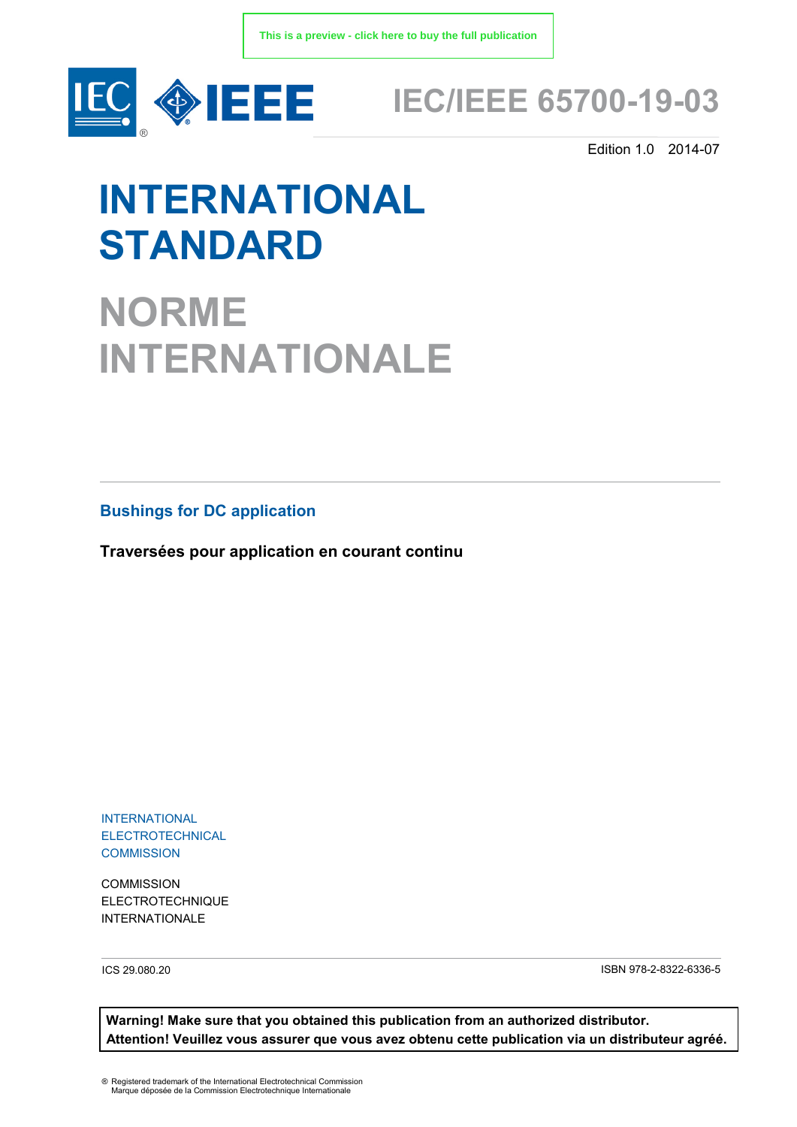

## **IEC/IEEE 65700-19-03**

Edition 1.0 2014-07

# **INTERNATIONAL STANDARD**

**NORME INTERNATIONALE**

**Bushings for DC application**

**Traversées pour application en courant continu**

INTERNATIONAL ELECTROTECHNICAL **COMMISSION** 

**COMMISSION** ELECTROTECHNIQUE INTERNATIONALE

ICS 29.080.20 ISBN 978-2-8322-6336-5

**Warning! Make sure that you obtained this publication from an authorized distributor. Attention! Veuillez vous assurer que vous avez obtenu cette publication via un distributeur agréé.**

® Registered trademark of the International Electrotechnical Commission Marque déposée de la Commission Electrotechnique Internationale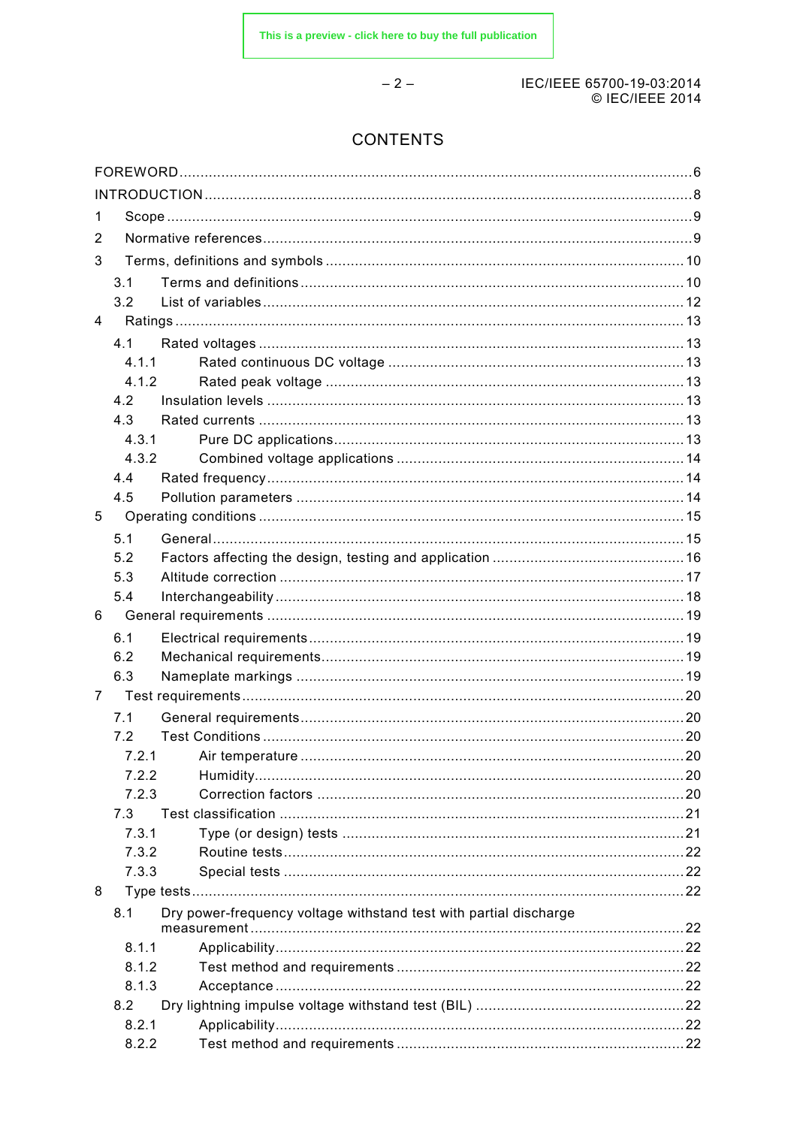$-2-$ 

#### IEC/IEEE 65700-19-03:2014 © IEC/IEEE 2014

## **CONTENTS**

| 1            |       |                                                                   |  |
|--------------|-------|-------------------------------------------------------------------|--|
| 2            |       |                                                                   |  |
| 3            |       |                                                                   |  |
|              | 3.1   |                                                                   |  |
|              | 3.2   |                                                                   |  |
| 4            |       |                                                                   |  |
|              | 4.1   |                                                                   |  |
|              | 4.1.1 |                                                                   |  |
|              | 4.1.2 |                                                                   |  |
|              | 4.2   |                                                                   |  |
|              | 4.3   |                                                                   |  |
|              | 4.3.1 |                                                                   |  |
|              | 4.3.2 |                                                                   |  |
|              | 4.4   |                                                                   |  |
|              | 4.5   |                                                                   |  |
| 5            |       |                                                                   |  |
|              | 5.1   |                                                                   |  |
|              | 5.2   |                                                                   |  |
|              | 5.3   |                                                                   |  |
|              | 5.4   |                                                                   |  |
| 6            |       |                                                                   |  |
|              | 6.1   |                                                                   |  |
|              | 6.2   |                                                                   |  |
|              | 6.3   |                                                                   |  |
| $\mathbf{7}$ |       |                                                                   |  |
|              | 7.1   |                                                                   |  |
|              | 7.2   |                                                                   |  |
|              | 7.2.1 |                                                                   |  |
|              | 7.2.2 |                                                                   |  |
|              | 7.2.3 |                                                                   |  |
|              | 7.3   |                                                                   |  |
|              | 7.3.1 |                                                                   |  |
|              | 7.3.2 |                                                                   |  |
|              | 7.3.3 |                                                                   |  |
| 8            |       |                                                                   |  |
|              | 8.1   | Dry power-frequency voltage withstand test with partial discharge |  |
|              |       |                                                                   |  |
|              | 8.1.1 |                                                                   |  |
|              | 8.1.2 |                                                                   |  |
|              | 8.1.3 |                                                                   |  |
|              | 8.2   |                                                                   |  |
|              | 8.2.1 |                                                                   |  |
|              | 8.2.2 |                                                                   |  |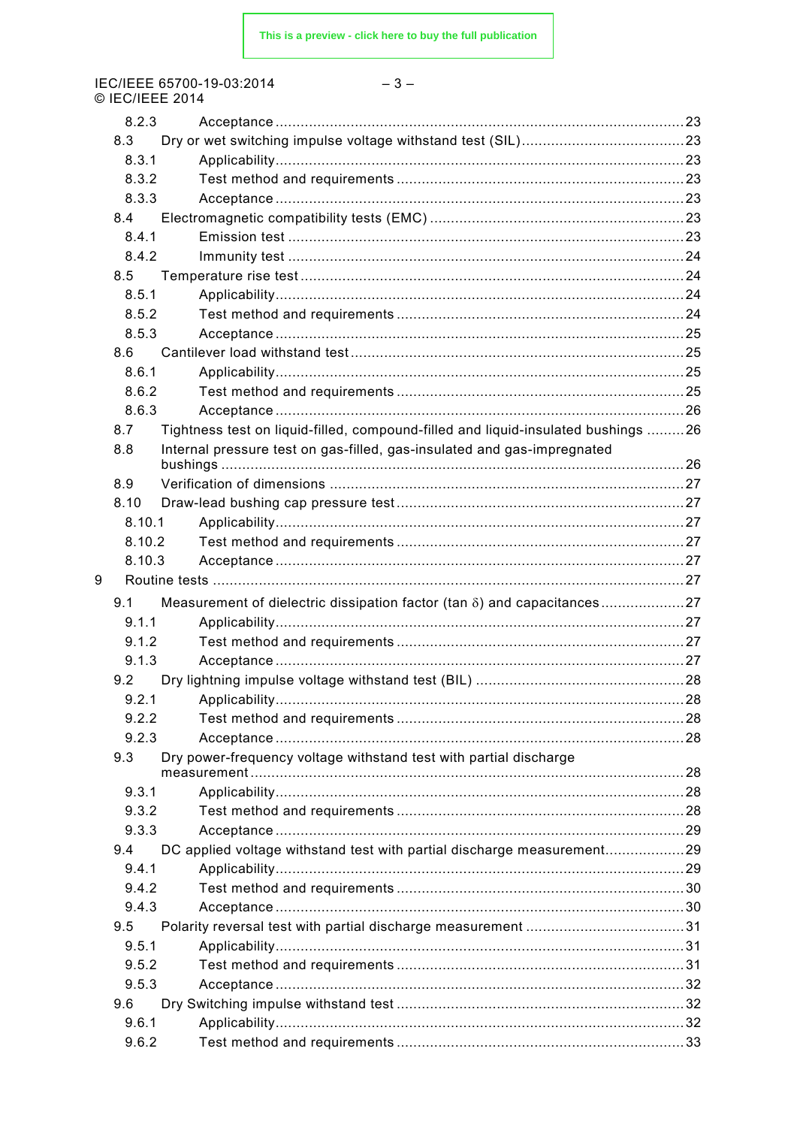IEC/IEEE 65700-19-03:2014<br>© IEC/IEEE 2014

| ×<br>۰. |
|---------|
|---------|

|   | U IEUILEE ZUT |                                                                                   |  |
|---|---------------|-----------------------------------------------------------------------------------|--|
|   | 8.2.3         |                                                                                   |  |
|   | 8.3           |                                                                                   |  |
|   | 8.3.1         |                                                                                   |  |
|   | 8.3.2         |                                                                                   |  |
|   | 8.3.3         |                                                                                   |  |
|   | 8.4           |                                                                                   |  |
|   | 8.4.1         |                                                                                   |  |
|   | 8.4.2         |                                                                                   |  |
|   | 8.5           |                                                                                   |  |
|   | 8.5.1         |                                                                                   |  |
|   | 8.5.2         |                                                                                   |  |
|   | 8.5.3         |                                                                                   |  |
|   | 8.6           |                                                                                   |  |
|   | 8.6.1         |                                                                                   |  |
|   | 8.6.2         |                                                                                   |  |
|   | 8.6.3         |                                                                                   |  |
|   | 8.7           | Tightness test on liquid-filled, compound-filled and liquid-insulated bushings 26 |  |
|   | 8.8           | Internal pressure test on gas-filled, gas-insulated and gas-impregnated           |  |
|   |               |                                                                                   |  |
|   | 8.9           |                                                                                   |  |
|   | 8.10          |                                                                                   |  |
|   | 8.10.1        |                                                                                   |  |
|   | 8.10.2        |                                                                                   |  |
|   | 8.10.3        |                                                                                   |  |
| 9 |               |                                                                                   |  |
|   | 9.1           | Measurement of dielectric dissipation factor (tan $\delta$ ) and capacitances27   |  |
|   | 9.1.1         |                                                                                   |  |
|   | 9.1.2         |                                                                                   |  |
|   | 9.1.3         |                                                                                   |  |
|   | 9.2           |                                                                                   |  |
|   |               |                                                                                   |  |
|   | 9.2.2         |                                                                                   |  |
|   | 9.2.3         |                                                                                   |  |
|   | 9.3           | Dry power-frequency voltage withstand test with partial discharge                 |  |
|   |               |                                                                                   |  |
|   | 9.3.1         |                                                                                   |  |
|   | 9.3.2         |                                                                                   |  |
|   | 9.3.3         |                                                                                   |  |
|   | 9.4           | DC applied voltage withstand test with partial discharge measurement29            |  |
|   | 9.4.1         |                                                                                   |  |
|   | 9.4.2         |                                                                                   |  |
|   | 9.4.3         |                                                                                   |  |
|   | 9.5           |                                                                                   |  |
|   | 9.5.1         |                                                                                   |  |
|   | 9.5.2         |                                                                                   |  |
|   | 9.5.3         |                                                                                   |  |
|   | 9.6           |                                                                                   |  |
|   | 9.6.1         |                                                                                   |  |
|   | 9.6.2         |                                                                                   |  |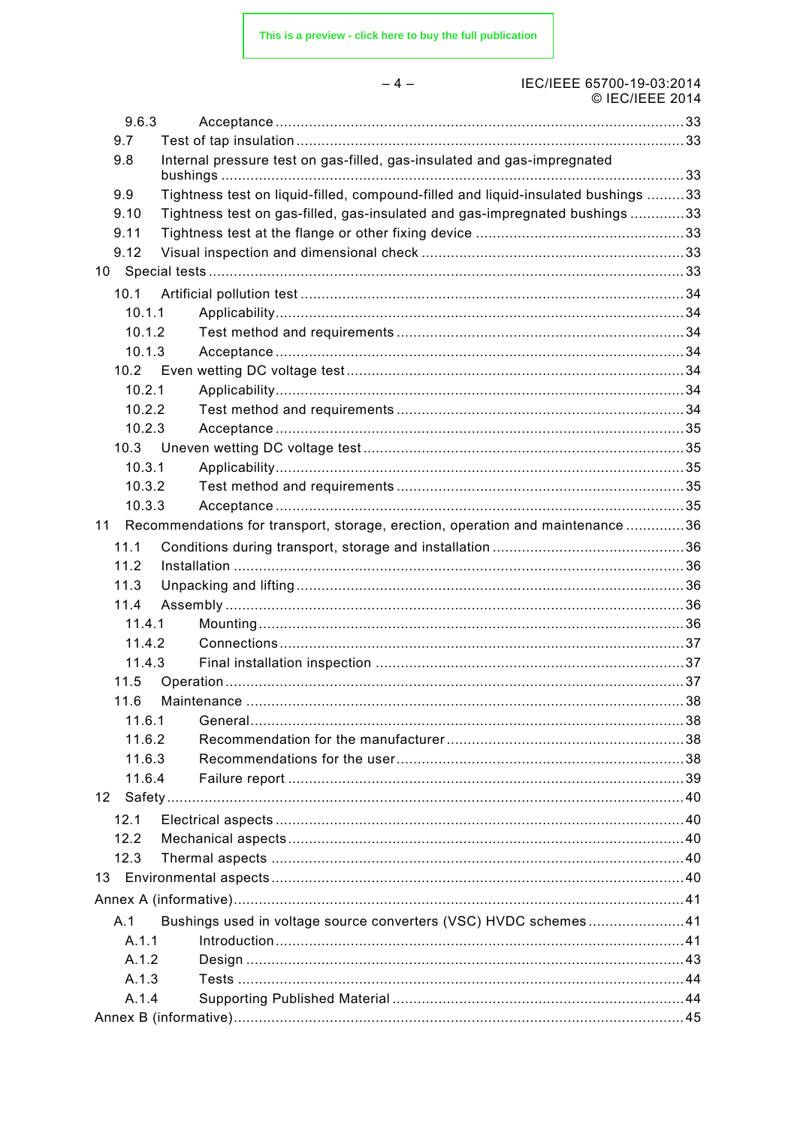$-4-$ 

## IEC/IEEE 65700-19-03:2014

|    |        | $\cup$ IEU/IEEE ZUT4                                                              |  |
|----|--------|-----------------------------------------------------------------------------------|--|
|    | 9.6.3  |                                                                                   |  |
|    | 9.7    |                                                                                   |  |
|    | 9.8    | Internal pressure test on gas-filled, gas-insulated and gas-impregnated           |  |
|    | 9.9    | Tightness test on liquid-filled, compound-filled and liquid-insulated bushings 33 |  |
|    | 9.10   | Tightness test on gas-filled, gas-insulated and gas-impregnated bushings 33       |  |
|    | 9.11   |                                                                                   |  |
|    | 9.12   |                                                                                   |  |
|    |        |                                                                                   |  |
|    | 10.1   |                                                                                   |  |
|    | 10.1.1 |                                                                                   |  |
|    | 10.1.2 |                                                                                   |  |
|    | 10.1.3 |                                                                                   |  |
|    |        |                                                                                   |  |
|    | 10.2.1 |                                                                                   |  |
|    | 10.2.2 |                                                                                   |  |
|    | 10.2.3 |                                                                                   |  |
|    |        |                                                                                   |  |
|    | 10.3.1 |                                                                                   |  |
|    | 10.3.2 |                                                                                   |  |
|    | 10.3.3 |                                                                                   |  |
| 11 |        | Recommendations for transport, storage, erection, operation and maintenance 36    |  |
|    | 11.1   |                                                                                   |  |
|    | 11.2   |                                                                                   |  |
|    | 11.3   |                                                                                   |  |
|    | 11.4   |                                                                                   |  |
|    | 11.4.1 |                                                                                   |  |
|    | 11.4.2 |                                                                                   |  |
|    | 11.4.3 |                                                                                   |  |
|    | 11.5   |                                                                                   |  |
|    | 11.6   |                                                                                   |  |
|    | 11.6.1 |                                                                                   |  |
|    | 11.6.2 |                                                                                   |  |
|    | 11.6.3 |                                                                                   |  |
|    | 11.6.4 |                                                                                   |  |
| 12 |        |                                                                                   |  |
|    | 12.1   |                                                                                   |  |
|    | 12.2   |                                                                                   |  |
|    | 12.3   |                                                                                   |  |
| 13 |        |                                                                                   |  |
|    |        |                                                                                   |  |
|    | A.1    | Bushings used in voltage source converters (VSC) HVDC schemes41                   |  |
|    | A.1.1  |                                                                                   |  |
|    | A.1.2  |                                                                                   |  |
|    | A.1.3  |                                                                                   |  |
|    | A.1.4  |                                                                                   |  |
|    |        |                                                                                   |  |
|    |        |                                                                                   |  |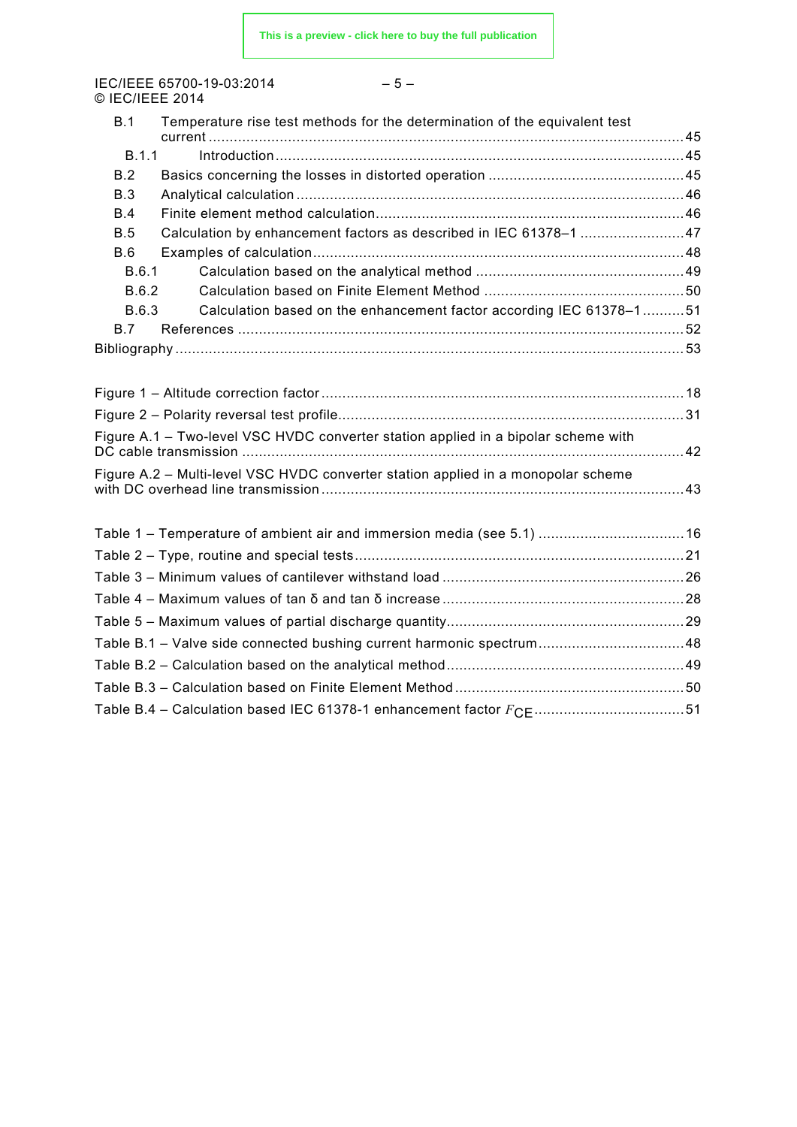IEC/IEEE 65700-19-03:2014 © IEC/IEEE 2014

| ٠<br>×<br>I<br>۰.<br>× |  |
|------------------------|--|
|------------------------|--|

| B.1        | Temperature rise test methods for the determination of the equivalent test         |  |
|------------|------------------------------------------------------------------------------------|--|
| B.1.1      |                                                                                    |  |
| B.2        |                                                                                    |  |
| <b>B.3</b> |                                                                                    |  |
| B.4        |                                                                                    |  |
| B.5        | Calculation by enhancement factors as described in IEC 61378-1 47                  |  |
| B.6        |                                                                                    |  |
| B.6.1      |                                                                                    |  |
| B.6.2      |                                                                                    |  |
| B.6.3      | Calculation based on the enhancement factor according IEC 61378-151                |  |
| B.7        |                                                                                    |  |
|            |                                                                                    |  |
|            |                                                                                    |  |
|            |                                                                                    |  |
|            |                                                                                    |  |
|            | Figure A.1 - Two-level VSC HVDC converter station applied in a bipolar scheme with |  |
|            | Figure A.2 – Multi-level VSC HVDC converter station applied in a monopolar scheme  |  |
|            |                                                                                    |  |
|            | Table 1 - Temperature of ambient air and immersion media (see 5.1)  16             |  |
|            |                                                                                    |  |
|            |                                                                                    |  |
|            |                                                                                    |  |
|            |                                                                                    |  |
|            | Table B.1 - Valve side connected bushing current harmonic spectrum48               |  |
|            |                                                                                    |  |
|            |                                                                                    |  |
|            |                                                                                    |  |
|            |                                                                                    |  |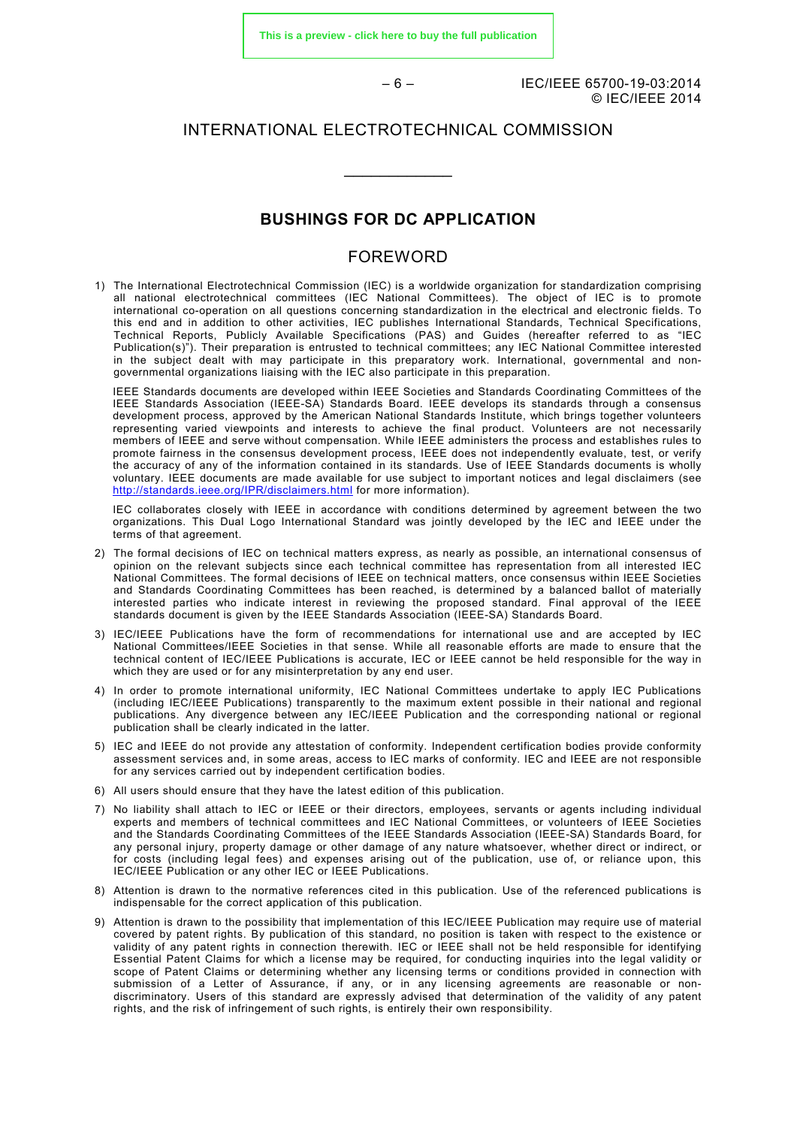**[This is a preview - click here to buy the full publication](https://webstore.iec.ch/publication/7533&preview)**

– 6 – IEC/IEEE 65700-19-03:2014 © IEC/IEEE 2014

#### INTERNATIONAL ELECTROTECHNICAL COMMISSION

\_\_\_\_\_\_\_\_\_\_\_\_

#### **BUSHINGS FOR DC APPLICATION**

#### FOREWORD

<span id="page-5-0"></span>1) The International Electrotechnical Commission (IEC) is a worldwide organization for standardization comprising all national electrotechnical committees (IEC National Committees). The object of IEC is to promote international co-operation on all questions concerning standardization in the electrical and electronic fields. To this end and in addition to other activities, IEC publishes International Standards, Technical Specifications, Technical Reports, Publicly Available Specifications (PAS) and Guides (hereafter referred to as "IEC Publication(s)"). Their preparation is entrusted to technical committees; any IEC National Committee interested in the subject dealt with may participate in this preparatory work. International, governmental and nongovernmental organizations liaising with the IEC also participate in this preparation.

IEEE Standards documents are developed within IEEE Societies and Standards Coordinating Committees of the IEEE Standards Association (IEEE-SA) Standards Board. IEEE develops its standards through a consensus development process, approved by the American National Standards Institute, which brings together volunteers representing varied viewpoints and interests to achieve the final product. Volunteers are not necessarily members of IEEE and serve without compensation. While IEEE administers the process and establishes rules to promote fairness in the consensus development process, IEEE does not independently evaluate, test, or verify the accuracy of any of the information contained in its standards. Use of IEEE Standards documents is wholly voluntary. IEEE documents are made available for use subject to important notices and legal disclaimers (see <http://standards.ieee.org/IPR/disclaimers.html> for more information).

IEC collaborates closely with IEEE in accordance with conditions determined by agreement between the two organizations. This Dual Logo International Standard was jointly developed by the IEC and IEEE under the terms of that agreement.

- 2) The formal decisions of IEC on technical matters express, as nearly as possible, an international consensus of opinion on the relevant subjects since each technical committee has representation from all interested IEC National Committees. The formal decisions of IEEE on technical matters, once consensus within IEEE Societies and Standards Coordinating Committees has been reached, is determined by a balanced ballot of materially interested parties who indicate interest in reviewing the proposed standard. Final approval of the IEEE standards document is given by the IEEE Standards Association (IEEE-SA) Standards Board.
- 3) IEC/IEEE Publications have the form of recommendations for international use and are accepted by IEC National Committees/IEEE Societies in that sense. While all reasonable efforts are made to ensure that the technical content of IEC/IEEE Publications is accurate, IEC or IEEE cannot be held responsible for the way in which they are used or for any misinterpretation by any end user.
- 4) In order to promote international uniformity, IEC National Committees undertake to apply IEC Publications (including IEC/IEEE Publications) transparently to the maximum extent possible in their national and regional publications. Any divergence between any IEC/IEEE Publication and the corresponding national or regional publication shall be clearly indicated in the latter.
- 5) IEC and IEEE do not provide any attestation of conformity. Independent certification bodies provide conformity assessment services and, in some areas, access to IEC marks of conformity. IEC and IEEE are not responsible for any services carried out by independent certification bodies.
- 6) All users should ensure that they have the latest edition of this publication.
- 7) No liability shall attach to IEC or IEEE or their directors, employees, servants or agents including individual experts and members of technical committees and IEC National Committees, or volunteers of IEEE Societies and the Standards Coordinating Committees of the IEEE Standards Association (IEEE-SA) Standards Board, for any personal injury, property damage or other damage of any nature whatsoever, whether direct or indirect, or for costs (including legal fees) and expenses arising out of the publication, use of, or reliance upon, this IEC/IEEE Publication or any other IEC or IEEE Publications.
- 8) Attention is drawn to the normative references cited in this publication. Use of the referenced publications is indispensable for the correct application of this publication.
- 9) Attention is drawn to the possibility that implementation of this IEC/IEEE Publication may require use of material covered by patent rights. By publication of this standard, no position is taken with respect to the existence or validity of any patent rights in connection therewith. IEC or IEEE shall not be held responsible for identifying Essential Patent Claims for which a license may be required, for conducting inquiries into the legal validity or scope of Patent Claims or determining whether any licensing terms or conditions provided in connection with submission of a Letter of Assurance, if any, or in any licensing agreements are reasonable or nondiscriminatory. Users of this standard are expressly advised that determination of the validity of any patent rights, and the risk of infringement of such rights, is entirely their own responsibility.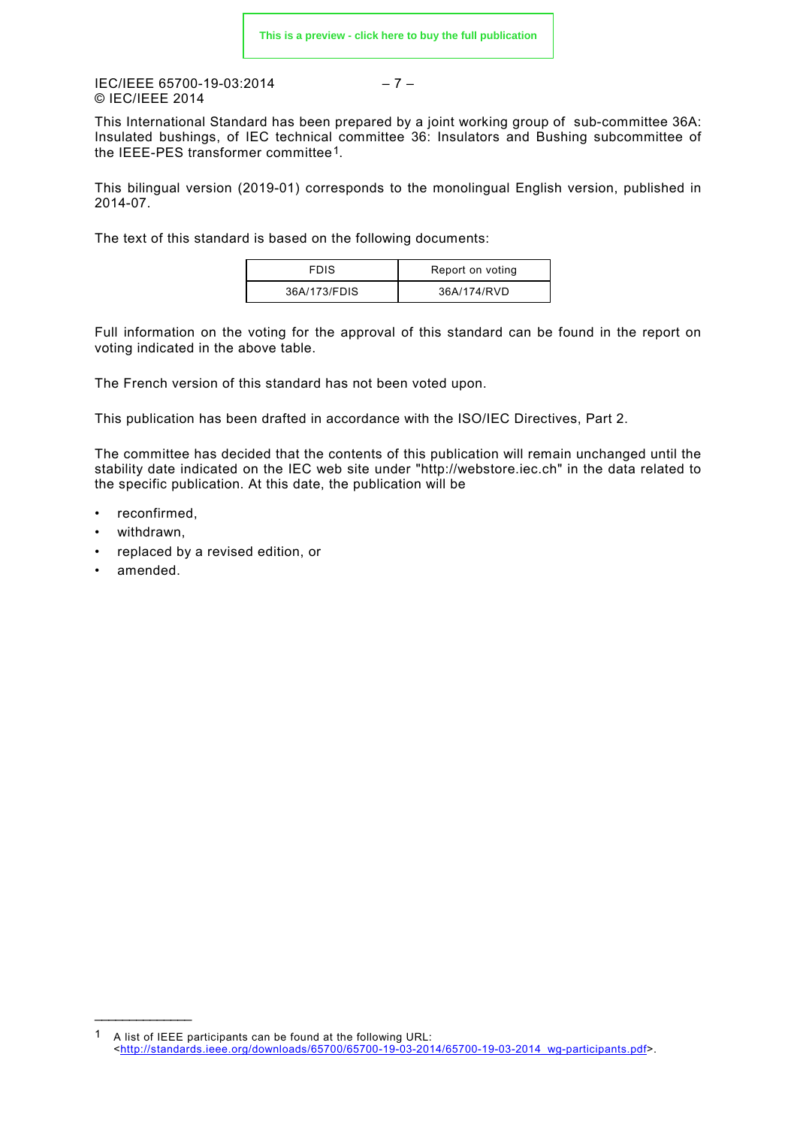#### $IEC/IEFE 65700-19-03:2014$  -7 – © IEC/IEEE 2014

This International Standard has been prepared by a joint working group of sub-committee 36A: Insulated bushings, of IEC technical committee 36: Insulators and Bushing subcommittee of the IEEE-PES transformer committee[1](#page-6-0).

This bilingual version (2019-01) corresponds to the monolingual English version, published in 2014-07.

The text of this standard is based on the following documents:

| <b>FDIS</b>  | Report on voting |
|--------------|------------------|
| 36A/173/FDIS | 36A/174/RVD      |

Full information on the voting for the approval of this standard can be found in the report on voting indicated in the above table.

The French version of this standard has not been voted upon.

This publication has been drafted in accordance with the ISO/IEC Directives, Part 2.

The committee has decided that the contents of this publication will remain unchanged until the stability date indicated on the IEC web site under "http://webstore.iec.ch" in the data related to the specific publication. At this date, the publication will be

- reconfirmed,
- withdrawn,
- replaced by a revised edition, or
- amended.

\_\_\_\_\_\_\_\_\_\_\_\_\_\_\_\_\_

<span id="page-6-0"></span><sup>1</sup> A list of IEEE participants can be found at the following URL: [<http://standards.ieee.org/downloads/65700/65700-19-03-2014/65700-19-03-2014\\_wg-participants.pdf>](http://standards.ieee.org/downloads/65700/65700-19-03-2014/65700-19-03-2014_wg-participants.pdf).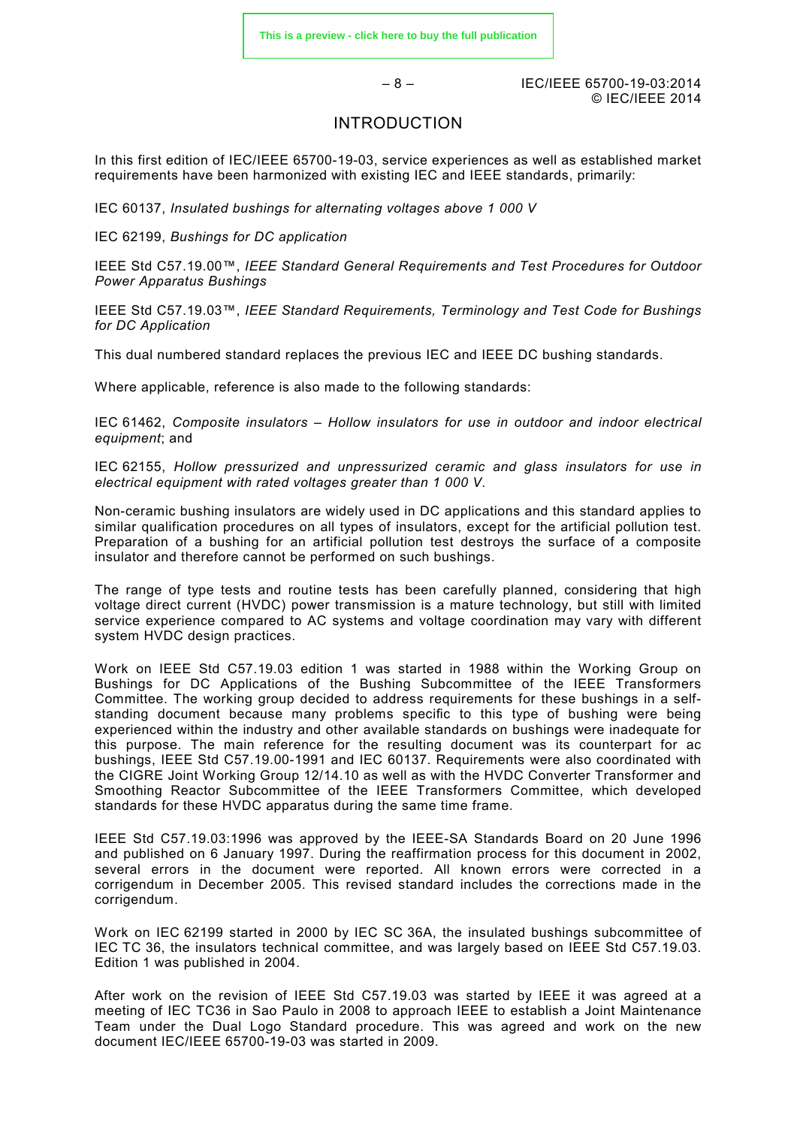– 8 – IEC/IEEE 65700-19-03:2014 © IEC/IEEE 2014

#### INTRODUCTION

<span id="page-7-0"></span>In this first edition of IEC/IEEE 65700-19-03, service experiences as well as established market requirements have been harmonized with existing IEC and IEEE standards, primarily:

IEC 60137, *Insulated bushings for alternating voltages above 1 000 V*

IEC 62199, *Bushings for DC application*

IEEE Std C57.19.00™, *IEEE Standard General Requirements and Test Procedures for Outdoor Power Apparatus Bushings*

IEEE Std C57.19.03™, *IEEE Standard Requirements, Terminology and Test Code for Bushings for DC Application*

This dual numbered standard replaces the previous IEC and IEEE DC bushing standards.

Where applicable, reference is also made to the following standards:

IEC 61462, *Composite insulators – Hollow insulators for use in outdoor and indoor electrical equipment*; and

IEC 62155, *Hollow pressurized and unpressurized ceramic and glass insulators for use in electrical equipment with rated voltages greater than 1 000 V*.

Non-ceramic bushing insulators are widely used in DC applications and this standard applies to similar qualification procedures on all types of insulators, except for the artificial pollution test. Preparation of a bushing for an artificial pollution test destroys the surface of a composite insulator and therefore cannot be performed on such bushings.

The range of type tests and routine tests has been carefully planned, considering that high voltage direct current (HVDC) power transmission is a mature technology, but still with limited service experience compared to AC systems and voltage coordination may vary with different system HVDC design practices.

Work on IEEE Std C57.19.03 edition 1 was started in 1988 within the Working Group on Bushings for DC Applications of the Bushing Subcommittee of the IEEE Transformers Committee. The working group decided to address requirements for these bushings in a selfstanding document because many problems specific to this type of bushing were being experienced within the industry and other available standards on bushings were inadequate for this purpose. The main reference for the resulting document was its counterpart for ac bushings, IEEE Std C57.19.00-1991 and IEC 60137. Requirements were also coordinated with the CIGRE Joint Working Group 12/14.10 as well as with the HVDC Converter Transformer and Smoothing Reactor Subcommittee of the IEEE Transformers Committee, which developed standards for these HVDC apparatus during the same time frame.

IEEE Std C57.19.03:1996 was approved by the IEEE-SA Standards Board on 20 June 1996 and published on 6 January 1997. During the reaffirmation process for this document in 2002, several errors in the document were reported. All known errors were corrected in a corrigendum in December 2005. This revised standard includes the corrections made in the corrigendum.

Work on IEC 62199 started in 2000 by IEC SC 36A, the insulated bushings subcommittee of IEC TC 36, the insulators technical committee, and was largely based on IEEE Std C57.19.03. Edition 1 was published in 2004.

After work on the revision of IEEE Std C57.19.03 was started by IEEE it was agreed at a meeting of IEC TC36 in Sao Paulo in 2008 to approach IEEE to establish a Joint Maintenance Team under the Dual Logo Standard procedure. This was agreed and work on the new document IEC/IEEE 65700-19-03 was started in 2009.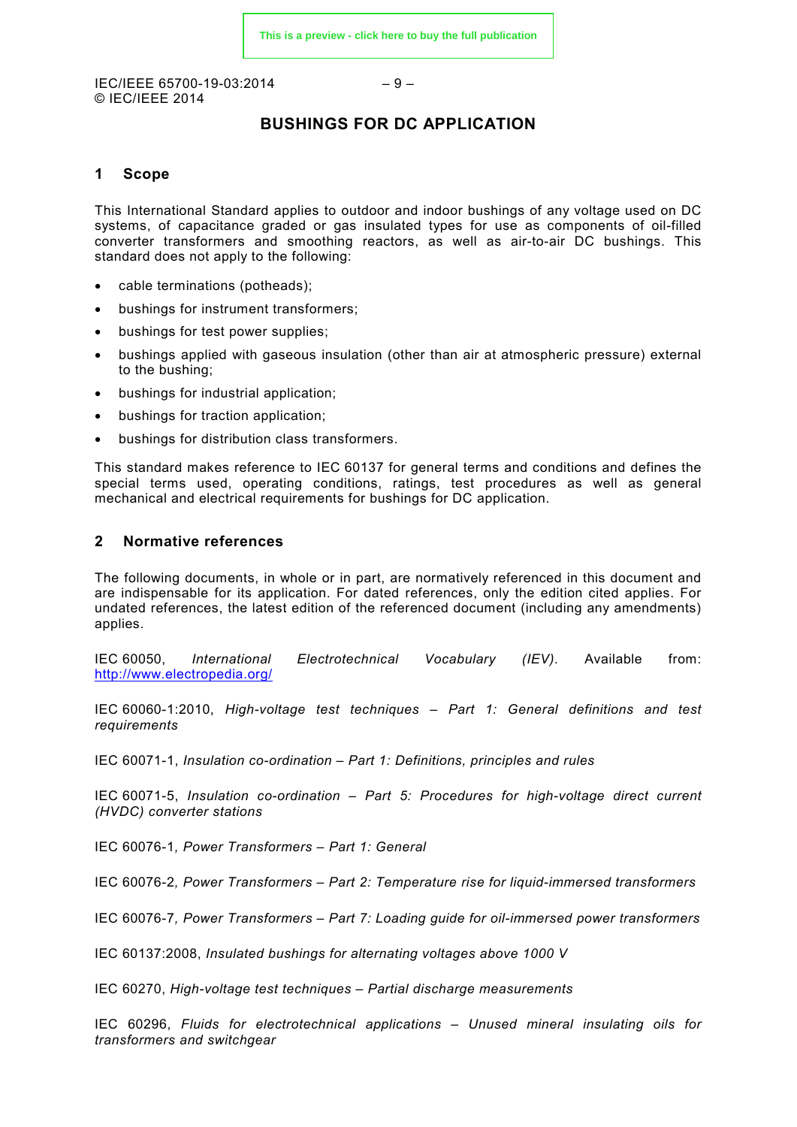$IEC/IEEE 65700-19-03:2014$   $-9-$ © IEC/IEEE 2014

#### **BUSHINGS FOR DC APPLICATION**

#### <span id="page-8-0"></span>**1 Scope**

This International Standard applies to outdoor and indoor bushings of any voltage used on DC systems, of capacitance graded or gas insulated types for use as components of oil-filled converter transformers and smoothing reactors, as well as air-to-air DC bushings. This standard does not apply to the following:

- cable terminations (potheads);
- bushings for instrument transformers;
- bushings for test power supplies;
- bushings applied with gaseous insulation (other than air at atmospheric pressure) external to the bushing;
- bushings for industrial application;
- bushings for traction application;
- bushings for distribution class transformers.

This standard makes reference to IEC 60137 for general terms and conditions and defines the special terms used, operating conditions, ratings, test procedures as well as general mechanical and electrical requirements for bushings for DC application.

#### <span id="page-8-1"></span>**2 Normative references**

The following documents, in whole or in part, are normatively referenced in this document and are indispensable for its application. For dated references, only the edition cited applies. For undated references, the latest edition of the referenced document (including any amendments) applies.

IEC 60050, *International Electrotechnical Vocabulary (IEV).* Available from: <http://www.electropedia.org/>

IEC 60060-1:2010, *High-voltage test techniques – Part 1: General definitions and test requirements*

IEC 60071-1, *Insulation co-ordination – Part 1: Definitions, principles and rules*

IEC 60071-5, *Insulation co-ordination – Part 5: Procedures for high-voltage direct current (HVDC) converter stations*

IEC 60076-1*, Power Transformers – Part 1: General*

IEC 60076-2*, Power Transformers – Part 2: Temperature rise for liquid-immersed transformers*

IEC 60076-7*, Power Transformers – Part 7: Loading guide for oil-immersed power transformers*

IEC 60137:2008, *Insulated bushings for alternating voltages above 1000 V*

IEC 60270, *High-voltage test techniques – Partial discharge measurements*

IEC 60296, *Fluids for electrotechnical applications – Unused mineral insulating oils for transformers and switchgear*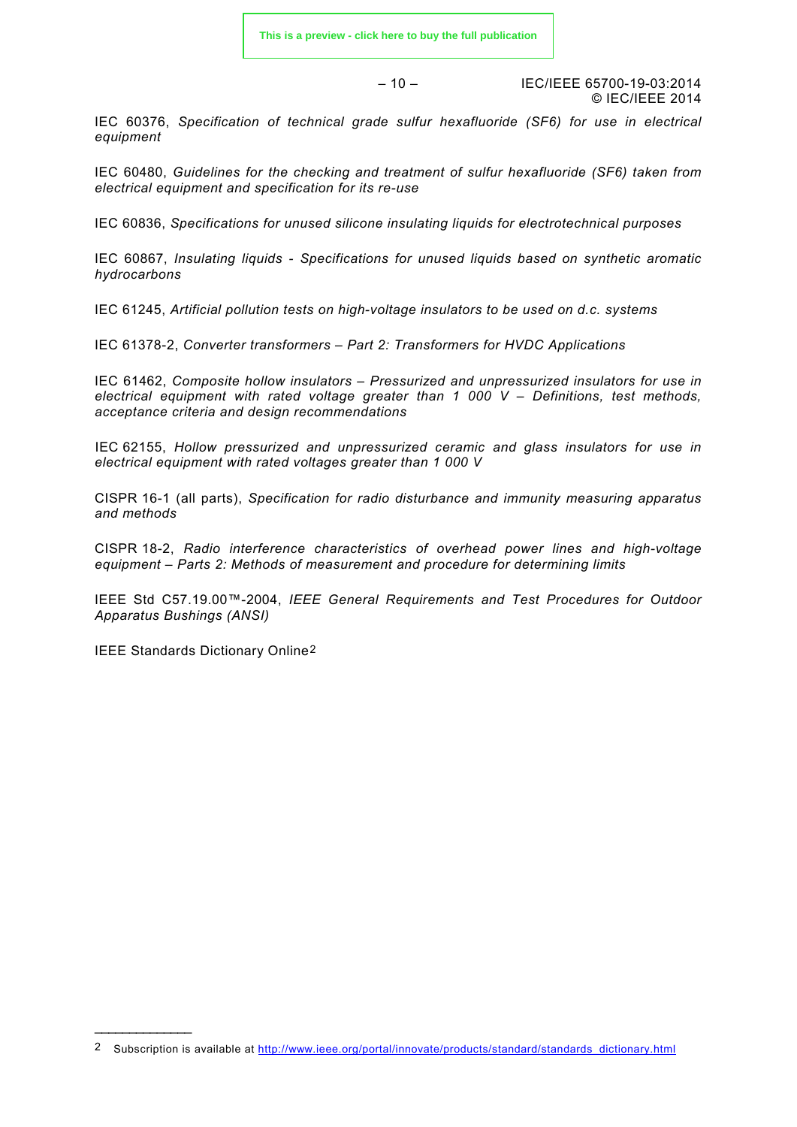– 10 – IEC/IEEE 65700-19-03:2014 © IEC/IEEE 2014

IEC 60376, *Specification of technical grade sulfur hexafluoride (SF6) for use in electrical equipment*

IEC 60480, *Guidelines for the checking and treatment of sulfur hexafluoride (SF6) taken from electrical equipment and specification for its re-use*

IEC 60836, *Specifications for unused silicone insulating liquids for electrotechnical purposes*

IEC 60867, *Insulating liquids - Specifications for unused liquids based on synthetic aromatic hydrocarbons*

IEC 61245, *Artificial pollution tests on high-voltage insulators to be used on d.c. systems*

IEC 61378-2, *Converter transformers – Part 2: Transformers for HVDC Applications*

IEC 61462, *Composite hollow insulators – Pressurized and unpressurized insulators for use in electrical equipment with rated voltage greater than 1 000 V – Definitions, test methods, acceptance criteria and design recommendations*

IEC 62155, *Hollow pressurized and unpressurized ceramic and glass insulators for use in electrical equipment with rated voltages greater than 1 000 V*

CISPR 16-1 (all parts), *Specification for radio disturbance and immunity measuring apparatus and methods*

CISPR 18-2, *Radio interference characteristics of overhead power lines and high-voltage equipment – Parts 2: Methods of measurement and procedure for determining limits*

IEEE Std C57.19.00™-2004, *IEEE General Requirements and Test Procedures for Outdoor Apparatus Bushings (ANSI)*

<span id="page-9-1"></span><span id="page-9-0"></span>IEEE Standards Dictionary Online[2](#page-9-2)

\_\_\_\_\_\_\_\_\_\_\_\_\_\_

<span id="page-9-2"></span><sup>2</sup> Subscription is available at [http://www.ieee.org/portal/innovate/products/standard/standards\\_dictionary.html](http://www.ieee.org/portal/innovate/products/standard/standards_dictionary.html)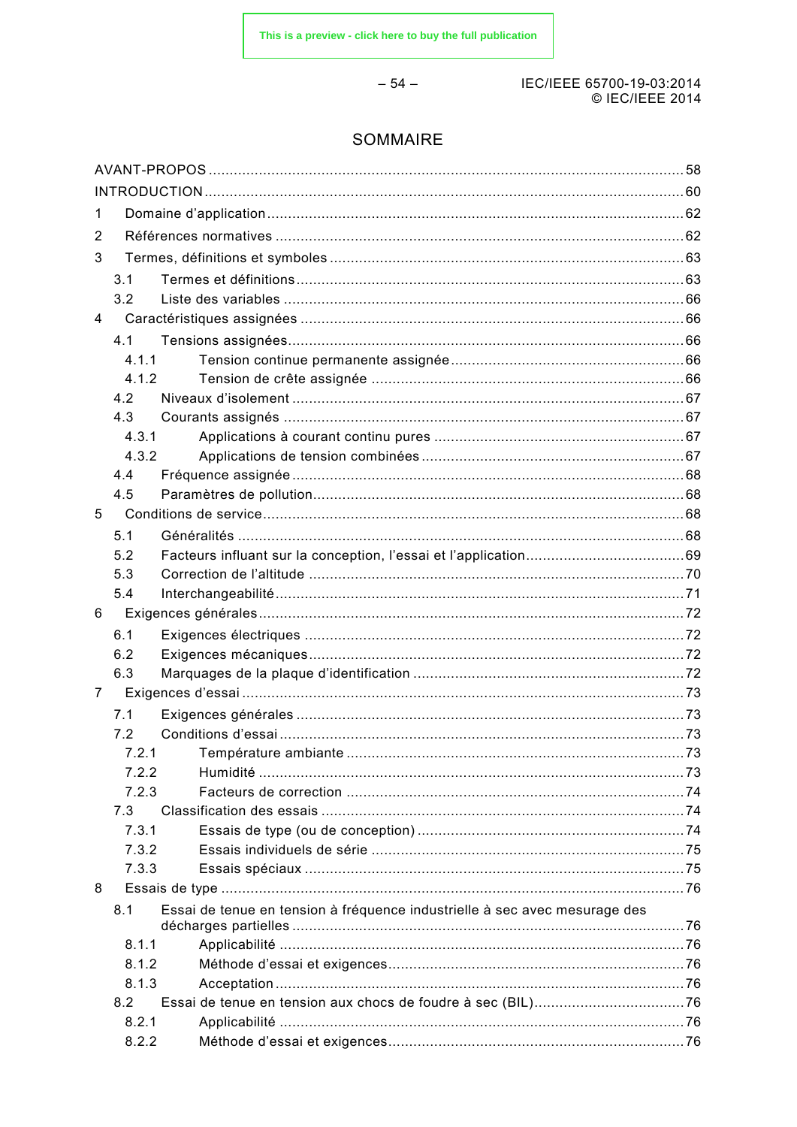$-54-$ 

#### IEC/IEEE 65700-19-03:2014 © IEC/IEEE 2014

### **SOMMAIRE**

| 1 |       |                                                                            |  |
|---|-------|----------------------------------------------------------------------------|--|
| 2 |       |                                                                            |  |
| 3 |       |                                                                            |  |
|   | 3.1   |                                                                            |  |
|   | 3.2   |                                                                            |  |
| 4 |       |                                                                            |  |
|   | 4.1   |                                                                            |  |
|   | 4.1.1 |                                                                            |  |
|   | 4.1.2 |                                                                            |  |
|   | 4.2   |                                                                            |  |
|   | 4.3   |                                                                            |  |
|   | 4.3.1 |                                                                            |  |
|   | 4.3.2 |                                                                            |  |
|   | 4.4   |                                                                            |  |
|   | 4.5   |                                                                            |  |
| 5 |       |                                                                            |  |
|   | 5.1   |                                                                            |  |
|   | 5.2   |                                                                            |  |
|   | 5.3   |                                                                            |  |
|   | 5.4   |                                                                            |  |
| 6 |       |                                                                            |  |
|   | 6.1   |                                                                            |  |
|   | 6.2   |                                                                            |  |
|   | 6.3   |                                                                            |  |
| 7 |       |                                                                            |  |
|   | 7.1   |                                                                            |  |
|   | 7.2   |                                                                            |  |
|   | 7.2.1 |                                                                            |  |
|   | 7.2.2 |                                                                            |  |
|   | 7.2.3 |                                                                            |  |
|   | 7.3   |                                                                            |  |
|   | 7.3.1 |                                                                            |  |
|   | 7.3.2 |                                                                            |  |
|   | 7.3.3 |                                                                            |  |
| 8 |       |                                                                            |  |
|   | 8.1   | Essai de tenue en tension à fréquence industrielle à sec avec mesurage des |  |
|   | 8.1.1 |                                                                            |  |
|   | 8.1.2 |                                                                            |  |
|   | 8.1.3 |                                                                            |  |
|   | 8.2   |                                                                            |  |
|   | 8.2.1 |                                                                            |  |
|   | 8.2.2 |                                                                            |  |
|   |       |                                                                            |  |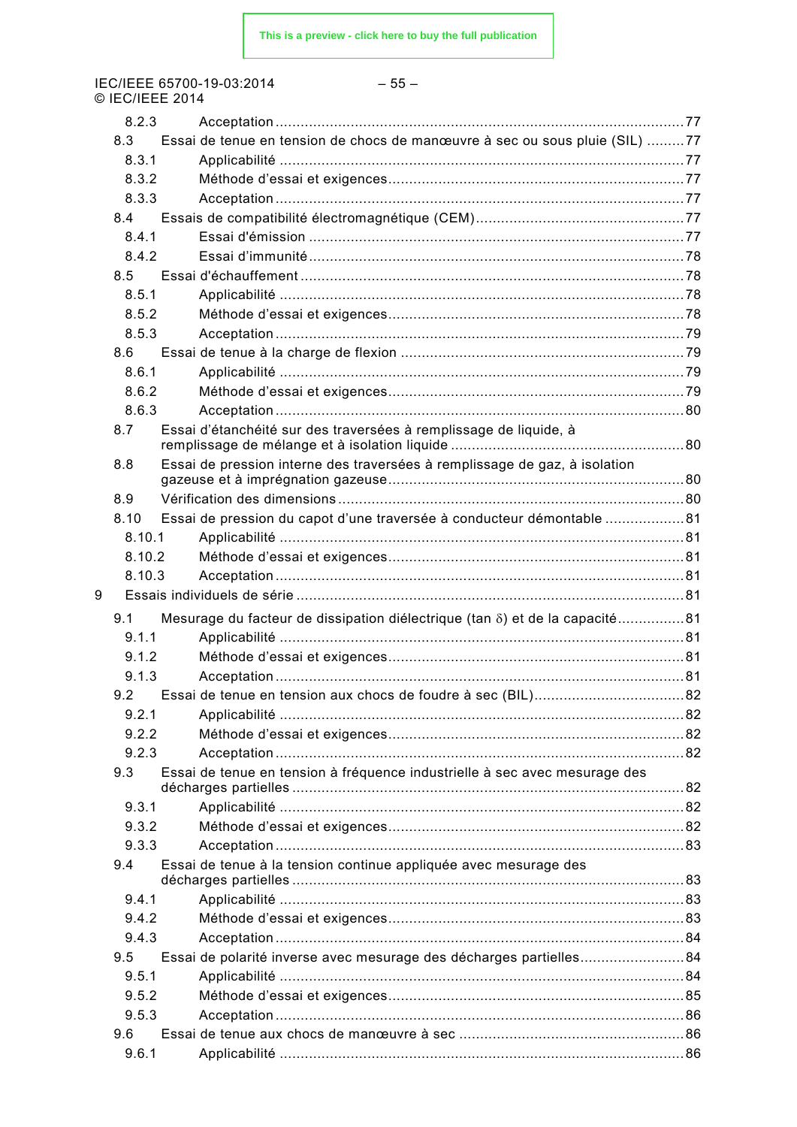IEC/IEEE 65700-19-03:2014<br>© IEC/IEEE 2014

#### $-55-$

|   | 8.2.3  |                                                                             |  |
|---|--------|-----------------------------------------------------------------------------|--|
|   | 8.3    | Essai de tenue en tension de chocs de manœuvre à sec ou sous pluie (SIL) 77 |  |
|   | 8.3.1  |                                                                             |  |
|   | 8.3.2  |                                                                             |  |
|   | 8.3.3  |                                                                             |  |
|   | 8.4    |                                                                             |  |
|   | 8.4.1  |                                                                             |  |
|   | 842    |                                                                             |  |
|   | 8.5    |                                                                             |  |
|   | 8.5.1  |                                                                             |  |
|   | 8.5.2  |                                                                             |  |
|   | 8.5.3  |                                                                             |  |
|   | 8.6    |                                                                             |  |
|   | 8.6.1  |                                                                             |  |
|   | 8.6.2  |                                                                             |  |
|   | 8.6.3  |                                                                             |  |
|   | 8.7    | Essai d'étanchéité sur des traversées à remplissage de liquide, à           |  |
|   |        |                                                                             |  |
|   | 8.8    | Essai de pression interne des traversées à remplissage de gaz, à isolation  |  |
|   | 8.9    |                                                                             |  |
|   | 8.10   | Essai de pression du capot d'une traversée à conducteur démontable 81       |  |
|   | 8.10.1 |                                                                             |  |
|   | 8.10.2 |                                                                             |  |
|   | 8.10.3 |                                                                             |  |
| 9 |        |                                                                             |  |
|   | 9.1    | Mesurage du facteur de dissipation diélectrique (tan δ) et de la capacité81 |  |
|   | 9.1.1  |                                                                             |  |
|   | 9.1.2  |                                                                             |  |
|   | 913    |                                                                             |  |
|   | 9.2    |                                                                             |  |
|   | 9.2.1  |                                                                             |  |
|   | 9.2.2  |                                                                             |  |
|   | 9.2.3  |                                                                             |  |
|   | 9.3    | Essai de tenue en tension à fréquence industrielle à sec avec mesurage des  |  |
|   | 9.3.1  |                                                                             |  |
|   | 9.3.2  |                                                                             |  |
|   | 9.3.3  |                                                                             |  |
|   | 9.4    | Essai de tenue à la tension continue appliquée avec mesurage des            |  |
|   |        |                                                                             |  |
|   | 9.4.1  |                                                                             |  |
|   | 9.4.2  |                                                                             |  |
|   | 9.4.3  |                                                                             |  |
|   | 9.5    | Essai de polarité inverse avec mesurage des décharges partielles84          |  |
|   | 9.5.1  |                                                                             |  |
|   | 9.5.2  |                                                                             |  |
|   | 9.5.3  |                                                                             |  |
|   | 9.6    |                                                                             |  |
|   | 9.6.1  |                                                                             |  |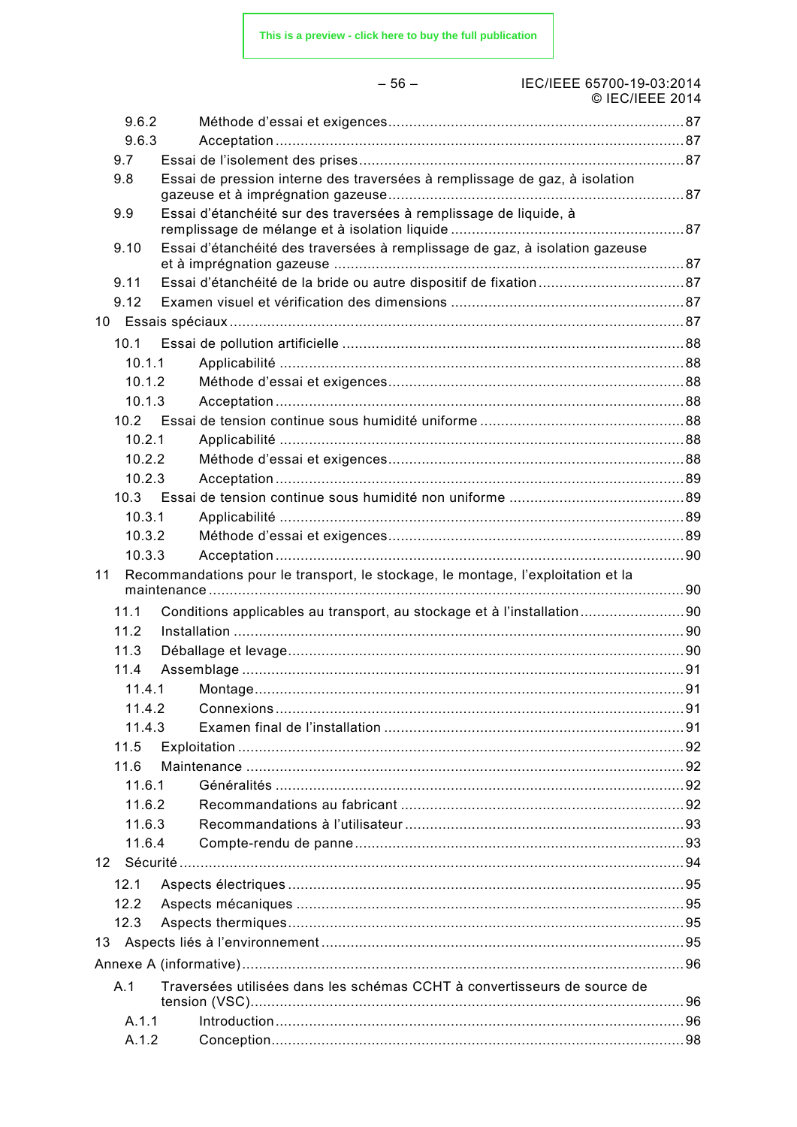IEC/IEEE 65700-19-03:2014 © IEC/IEEE 2014

|    | 9.6.2  |                                                                                  |  |
|----|--------|----------------------------------------------------------------------------------|--|
|    | 9.6.3  |                                                                                  |  |
|    | 9.7    |                                                                                  |  |
|    | 9.8    | Essai de pression interne des traversées à remplissage de gaz, à isolation       |  |
|    |        |                                                                                  |  |
|    | 9.9    | Essai d'étanchéité sur des traversées à remplissage de liquide, à                |  |
|    | 9.10   | Essai d'étanchéité des traversées à remplissage de gaz, à isolation gazeuse      |  |
|    |        |                                                                                  |  |
|    | 9.11   |                                                                                  |  |
|    | 9.12   |                                                                                  |  |
|    |        |                                                                                  |  |
|    | 10.1   |                                                                                  |  |
|    | 10.1.1 |                                                                                  |  |
|    | 10.1.2 |                                                                                  |  |
|    | 10.1.3 |                                                                                  |  |
|    |        |                                                                                  |  |
|    | 10.2.1 |                                                                                  |  |
|    | 10.2.2 |                                                                                  |  |
|    | 10.2.3 |                                                                                  |  |
|    |        |                                                                                  |  |
|    | 10.3.1 |                                                                                  |  |
|    | 10.3.2 |                                                                                  |  |
|    | 10.3.3 |                                                                                  |  |
| 11 |        | Recommandations pour le transport, le stockage, le montage, l'exploitation et la |  |
|    | 11.1   | Conditions applicables au transport, au stockage et à l'installation90           |  |
|    | 11.2   |                                                                                  |  |
|    | 11.3   |                                                                                  |  |
|    | 11.4   |                                                                                  |  |
|    | 11.4.1 |                                                                                  |  |
|    | 11.4.2 |                                                                                  |  |
|    | 11.4.3 |                                                                                  |  |
|    | 11.5   |                                                                                  |  |
|    | 11.6   |                                                                                  |  |
|    | 11.6.1 |                                                                                  |  |
|    | 11.6.2 |                                                                                  |  |
|    | 11.6.3 |                                                                                  |  |
|    | 11.6.4 |                                                                                  |  |
| 12 |        |                                                                                  |  |
|    |        |                                                                                  |  |
|    | 12.1   |                                                                                  |  |
|    | 12.2   |                                                                                  |  |
|    | 12.3   |                                                                                  |  |
| 13 |        |                                                                                  |  |
|    |        |                                                                                  |  |
|    | A.1    | Traversées utilisées dans les schémas CCHT à convertisseurs de source de         |  |
|    | A.1.1  |                                                                                  |  |
|    | A.1.2  |                                                                                  |  |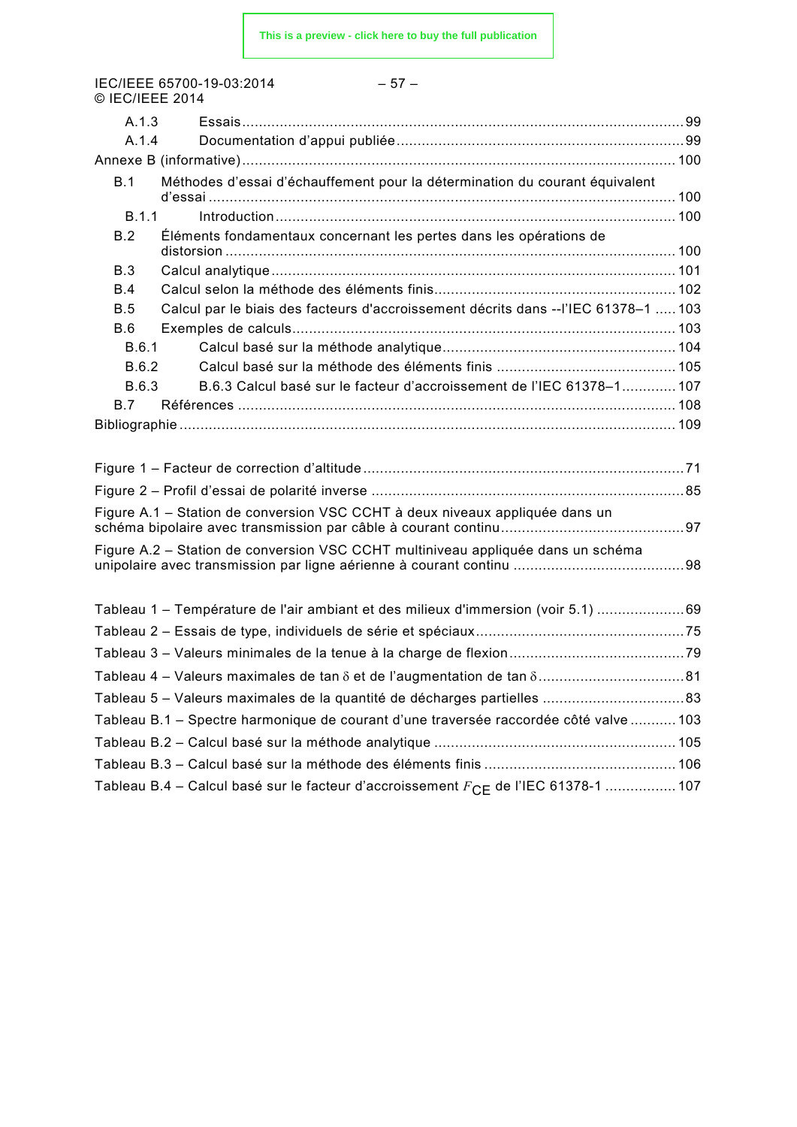IEC/IEEE 65700-19-03:2014 – 57 – © IEC/IEEE 2014

| A.1.3                                                                                                 |  |
|-------------------------------------------------------------------------------------------------------|--|
| A.1.4                                                                                                 |  |
|                                                                                                       |  |
| Méthodes d'essai d'échauffement pour la détermination du courant équivalent<br>B.1                    |  |
| B.1.1                                                                                                 |  |
| Éléments fondamentaux concernant les pertes dans les opérations de<br>B.2                             |  |
| B.3                                                                                                   |  |
| B.4                                                                                                   |  |
| Calcul par le biais des facteurs d'accroissement décrits dans --l'IEC 61378-1  103<br>B.5             |  |
| B.6                                                                                                   |  |
| B.6.1                                                                                                 |  |
| B.6.2                                                                                                 |  |
| B.6.3 Calcul basé sur le facteur d'accroissement de l'IEC 61378-1 107<br>B.6.3                        |  |
| B.7                                                                                                   |  |
|                                                                                                       |  |
|                                                                                                       |  |
|                                                                                                       |  |
|                                                                                                       |  |
| Figure A.1 – Station de conversion VSC CCHT à deux niveaux appliquée dans un                          |  |
| Figure A.2 – Station de conversion VSC CCHT multiniveau appliquée dans un schéma                      |  |
|                                                                                                       |  |
| Tableau 1 – Température de l'air ambiant et des milieux d'immersion (voir 5.1) 69                     |  |
|                                                                                                       |  |
|                                                                                                       |  |
|                                                                                                       |  |
|                                                                                                       |  |
| Tableau B.1 - Spectre harmonique de courant d'une traversée raccordée côté valve  103                 |  |
|                                                                                                       |  |
|                                                                                                       |  |
| Tableau B.4 – Calcul basé sur le facteur d'accroissement $F_{\textsf{CE}}$ de l'IEC 61378-1 ………………107 |  |
|                                                                                                       |  |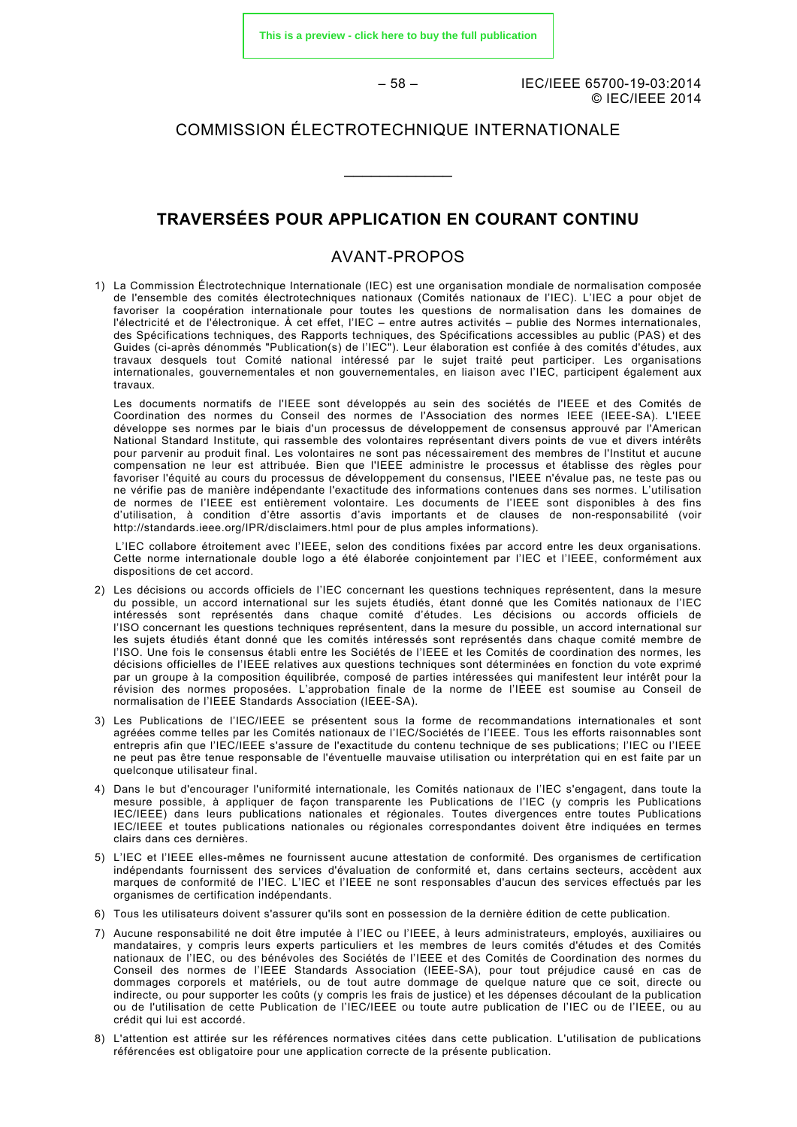**[This is a preview - click here to buy the full publication](https://webstore.iec.ch/publication/7533&preview)**

– 58 – IEC/IEEE 65700-19-03:2014 © IEC/IEEE 2014

### COMMISSION ÉLECTROTECHNIQUE INTERNATIONALE

\_\_\_\_\_\_\_\_\_\_\_\_

#### **TRAVERSÉES POUR APPLICATION EN COURANT CONTINU**

#### AVANT-PROPOS

<span id="page-14-0"></span>1) La Commission Électrotechnique Internationale (IEC) est une organisation mondiale de normalisation composée de l'ensemble des comités électrotechniques nationaux (Comités nationaux de l'IEC). L'IEC a pour objet de favoriser la coopération internationale pour toutes les questions de normalisation dans les domaines de l'électricité et de l'électronique. À cet effet, l'IEC – entre autres activités – publie des Normes internationales, des Spécifications techniques, des Rapports techniques, des Spécifications accessibles au public (PAS) et des Guides (ci-après dénommés "Publication(s) de l'IEC"). Leur élaboration est confiée à des comités d'études, aux travaux desquels tout Comité national intéressé par le sujet traité peut participer. Les organisations internationales, gouvernementales et non gouvernementales, en liaison avec l'IEC, participent également aux travaux.

Les documents normatifs de l'IEEE sont développés au sein des sociétés de l'IEEE et des Comités de Coordination des normes du Conseil des normes de l'Association des normes IEEE (IEEE-SA). L'IEEE développe ses normes par le biais d'un processus de développement de consensus approuvé par l'American National Standard Institute, qui rassemble des volontaires représentant divers points de vue et divers intérêts pour parvenir au produit final. Les volontaires ne sont pas nécessairement des membres de l'Institut et aucune compensation ne leur est attribuée. Bien que l'IEEE administre le processus et établisse des règles pour favoriser l'équité au cours du processus de développement du consensus, l'IEEE n'évalue pas, ne teste pas ou ne vérifie pas de manière indépendante l'exactitude des informations contenues dans ses normes. L'utilisation de normes de l'IEEE est entièrement volontaire. Les documents de l'IEEE sont disponibles à des fins d'utilisation, à condition d'être assortis d'avis importants et de clauses de non-responsabilité (voir <http://standards.ieee.org/IPR/disclaimers.html> pour de plus amples informations).

L'IEC collabore étroitement avec l'IEEE, selon des conditions fixées par accord entre les deux organisations. Cette norme internationale double logo a été élaborée conjointement par l'IEC et l'IEEE, conformément aux dispositions de cet accord.

- 2) Les décisions ou accords officiels de l'IEC concernant les questions techniques représentent, dans la mesure du possible, un accord international sur les sujets étudiés, étant donné que les Comités nationaux de l'IEC intéressés sont représentés dans chaque comité d'études. Les décisions ou accords officiels de l'ISO concernant les questions techniques représentent, dans la mesure du possible, un accord international sur les sujets étudiés étant donné que les comités intéressés sont représentés dans chaque comité membre de l'ISO. Une fois le consensus établi entre les Sociétés de l'IEEE et les Comités de coordination des normes, les décisions officielles de l'IEEE relatives aux questions techniques sont déterminées en fonction du vote exprimé par un groupe à la composition équilibrée, composé de parties intéressées qui manifestent leur intérêt pour la révision des normes proposées. L'approbation finale de la norme de l'IEEE est soumise au Conseil de normalisation de l'IEEE Standards Association (IEEE-SA).
- 3) Les Publications de l'IEC/IEEE se présentent sous la forme de recommandations internationales et sont agréées comme telles par les Comités nationaux de l'IEC/Sociétés de l'IEEE. Tous les efforts raisonnables sont entrepris afin que l'IEC/IEEE s'assure de l'exactitude du contenu technique de ses publications; l'IEC ou l'IEEE ne peut pas être tenue responsable de l'éventuelle mauvaise utilisation ou interprétation qui en est faite par un quelconque utilisateur final.
- 4) Dans le but d'encourager l'uniformité internationale, les Comités nationaux de l'IEC s'engagent, dans toute la mesure possible, à appliquer de façon transparente les Publications de l'IEC (y compris les Publications IEC/IEEE) dans leurs publications nationales et régionales. Toutes divergences entre toutes Publications IEC/IEEE et toutes publications nationales ou régionales correspondantes doivent être indiquées en termes clairs dans ces dernières.
- 5) L'IEC et l'IEEE elles-mêmes ne fournissent aucune attestation de conformité. Des organismes de certification indépendants fournissent des services d'évaluation de conformité et, dans certains secteurs, accèdent aux marques de conformité de l'IEC. L'IEC et l'IEEE ne sont responsables d'aucun des services effectués par les organismes de certification indépendants.
- 6) Tous les utilisateurs doivent s'assurer qu'ils sont en possession de la dernière édition de cette publication.
- 7) Aucune responsabilité ne doit être imputée à l'IEC ou l'IEEE, à leurs administrateurs, employés, auxiliaires ou mandataires, y compris leurs experts particuliers et les membres de leurs comités d'études et des Comités nationaux de l'IEC, ou des bénévoles des Sociétés de l'IEEE et des Comités de Coordination des normes du Conseil des normes de l'IEEE Standards Association (IEEE-SA), pour tout préjudice causé en cas de dommages corporels et matériels, ou de tout autre dommage de quelque nature que ce soit, directe ou indirecte, ou pour supporter les coûts (y compris les frais de justice) et les dépenses découlant de la publication ou de l'utilisation de cette Publication de l'IEC/IEEE ou toute autre publication de l'IEC ou de l'IEEE, ou au crédit qui lui est accordé.
- 8) L'attention est attirée sur les références normatives citées dans cette publication. L'utilisation de publications référencées est obligatoire pour une application correcte de la présente publication.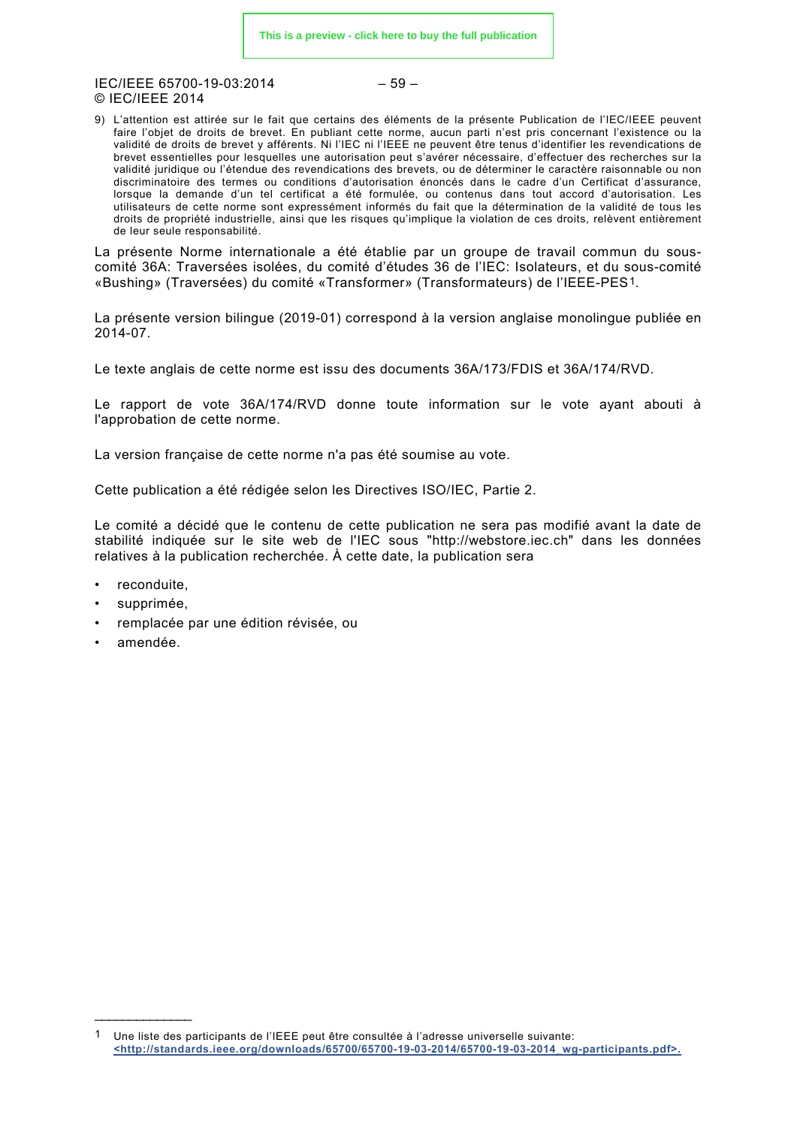IEC/IEEE 65700-19-03:2014 – 59 – © IEC/IEEE 2014

9) L'attention est attirée sur le fait que certains des éléments de la présente Publication de l'IEC/IEEE peuvent faire l'objet de droits de brevet. En publiant cette norme, aucun parti n'est pris concernant l'existence ou la validité de droits de brevet y afférents. Ni l'IEC ni l'IEEE ne peuvent être tenus d'identifier les revendications de brevet essentielles pour lesquelles une autorisation peut s'avérer nécessaire, d'effectuer des recherches sur la validité juridique ou l'étendue des revendications des brevets, ou de déterminer le caractère raisonnable ou non discriminatoire des termes ou conditions d'autorisation énoncés dans le cadre d'un Certificat d'assurance, lorsque la demande d'un tel certificat a été formulée, ou contenus dans tout accord d'autorisation. Les utilisateurs de cette norme sont expressément informés du fait que la détermination de la validité de tous les droits de propriété industrielle, ainsi que les risques qu'implique la violation de ces droits, relèvent entièrement de leur seule responsabilité.

La présente Norme internationale a été établie par un groupe de travail commun du souscomité 36A: Traversées isolées, du comité d'études 36 de l'IEC: Isolateurs, et du sous-comité «Bushing» (Traversées) du comité «Transformer» (Transformateurs) de l'IEEE-PES[1.](#page-15-0)

La présente version bilingue (2019-01) correspond à la version anglaise monolingue publiée en 2014-07.

Le texte anglais de cette norme est issu des documents 36A/173/FDIS et 36A/174/RVD.

Le rapport de vote 36A/174/RVD donne toute information sur le vote ayant abouti à l'approbation de cette norme.

La version française de cette norme n'a pas été soumise au vote.

Cette publication a été rédigée selon les Directives ISO/IEC, Partie 2.

Le comité a décidé que le contenu de cette publication ne sera pas modifié avant la date de stabilité indiquée sur le site web de l'IEC sous "http://webstore.iec.ch" dans les données relatives à la publication recherchée. À cette date, la publication sera

- reconduite,
- supprimée,
- remplacée par une édition révisée, ou
- amendée.

\_\_\_\_\_\_\_\_\_\_\_\_\_\_\_\_\_

<span id="page-15-0"></span>Une liste des participants de l'IEEE peut être consultée à l'adresse universelle suivante: **[<http://standards.ieee.org/downloads/65700/65700-19-03-2014/65700-19-03-2014\\_wg-participants.pdf>.](http://standards.ieee.org/downloads/65700/65700-19-03-2014/65700-19-03-2014_wg-participants.pdf)**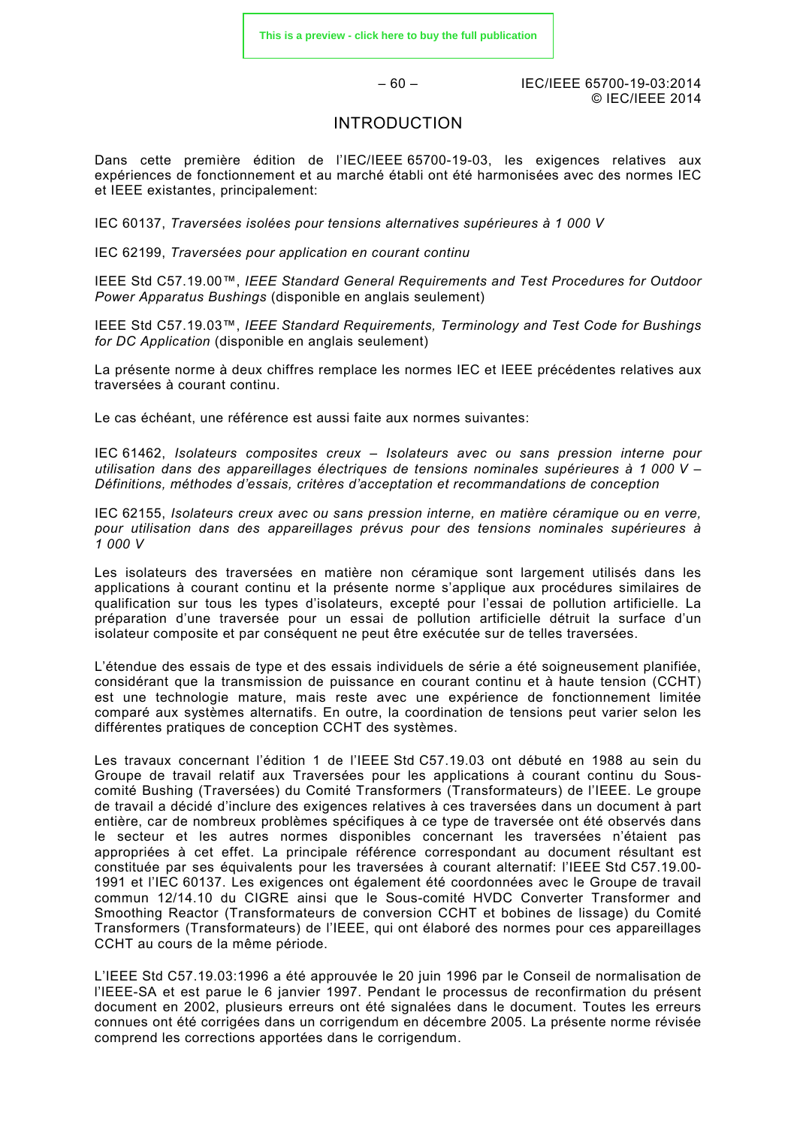– 60 – IEC/IEEE 65700-19-03:2014 © IEC/IEEE 2014

#### INTRODUCTION

<span id="page-16-0"></span>Dans cette première édition de l'IEC/IEEE 65700-19-03, les exigences relatives aux expériences de fonctionnement et au marché établi ont été harmonisées avec des normes IEC et IEEE existantes, principalement:

IEC 60137, *Traversées isolées pour tensions alternatives supérieures à 1 000 V*

IEC 62199, *Traversées pour application en courant continu*

IEEE Std C57.19.00™, *IEEE Standard General Requirements and Test Procedures for Outdoor Power Apparatus Bushings* (disponible en anglais seulement)

IEEE Std C57.19.03™, *IEEE Standard Requirements, Terminology and Test Code for Bushings for DC Application* (disponible en anglais seulement)

La présente norme à deux chiffres remplace les normes IEC et IEEE précédentes relatives aux traversées à courant continu.

Le cas échéant, une référence est aussi faite aux normes suivantes:

IEC 61462, *Isolateurs composites creux – Isolateurs avec ou sans pression interne pour utilisation dans des appareillages électriques de tensions nominales supérieures à 1 000 V – Définitions, méthodes d'essais, critères d'acceptation et recommandations de conception*

IEC 62155, *Isolateurs creux avec ou sans pression interne, en matière céramique ou en verre, pour utilisation dans des appareillages prévus pour des tensions nominales supérieures à 1 000 V*

Les isolateurs des traversées en matière non céramique sont largement utilisés dans les applications à courant continu et la présente norme s'applique aux procédures similaires de qualification sur tous les types d'isolateurs, excepté pour l'essai de pollution artificielle. La préparation d'une traversée pour un essai de pollution artificielle détruit la surface d'un isolateur composite et par conséquent ne peut être exécutée sur de telles traversées.

L'étendue des essais de type et des essais individuels de série a été soigneusement planifiée, considérant que la transmission de puissance en courant continu et à haute tension (CCHT) est une technologie mature, mais reste avec une expérience de fonctionnement limitée comparé aux systèmes alternatifs. En outre, la coordination de tensions peut varier selon les différentes pratiques de conception CCHT des systèmes.

Les travaux concernant l'édition 1 de l'IEEE Std C57.19.03 ont débuté en 1988 au sein du Groupe de travail relatif aux Traversées pour les applications à courant continu du Souscomité Bushing (Traversées) du Comité Transformers (Transformateurs) de l'IEEE. Le groupe de travail a décidé d'inclure des exigences relatives à ces traversées dans un document à part entière, car de nombreux problèmes spécifiques à ce type de traversée ont été observés dans le secteur et les autres normes disponibles concernant les traversées n'étaient pas appropriées à cet effet. La principale référence correspondant au document résultant est constituée par ses équivalents pour les traversées à courant alternatif: l'IEEE Std C57.19.00- 1991 et l'IEC 60137. Les exigences ont également été coordonnées avec le Groupe de travail commun 12/14.10 du CIGRE ainsi que le Sous-comité HVDC Converter Transformer and Smoothing Reactor (Transformateurs de conversion CCHT et bobines de lissage) du Comité Transformers (Transformateurs) de l'IEEE, qui ont élaboré des normes pour ces appareillages CCHT au cours de la même période.

L'IEEE Std C57.19.03:1996 a été approuvée le 20 juin 1996 par le Conseil de normalisation de l'IEEE-SA et est parue le 6 janvier 1997. Pendant le processus de reconfirmation du présent document en 2002, plusieurs erreurs ont été signalées dans le document. Toutes les erreurs connues ont été corrigées dans un corrigendum en décembre 2005. La présente norme révisée comprend les corrections apportées dans le corrigendum.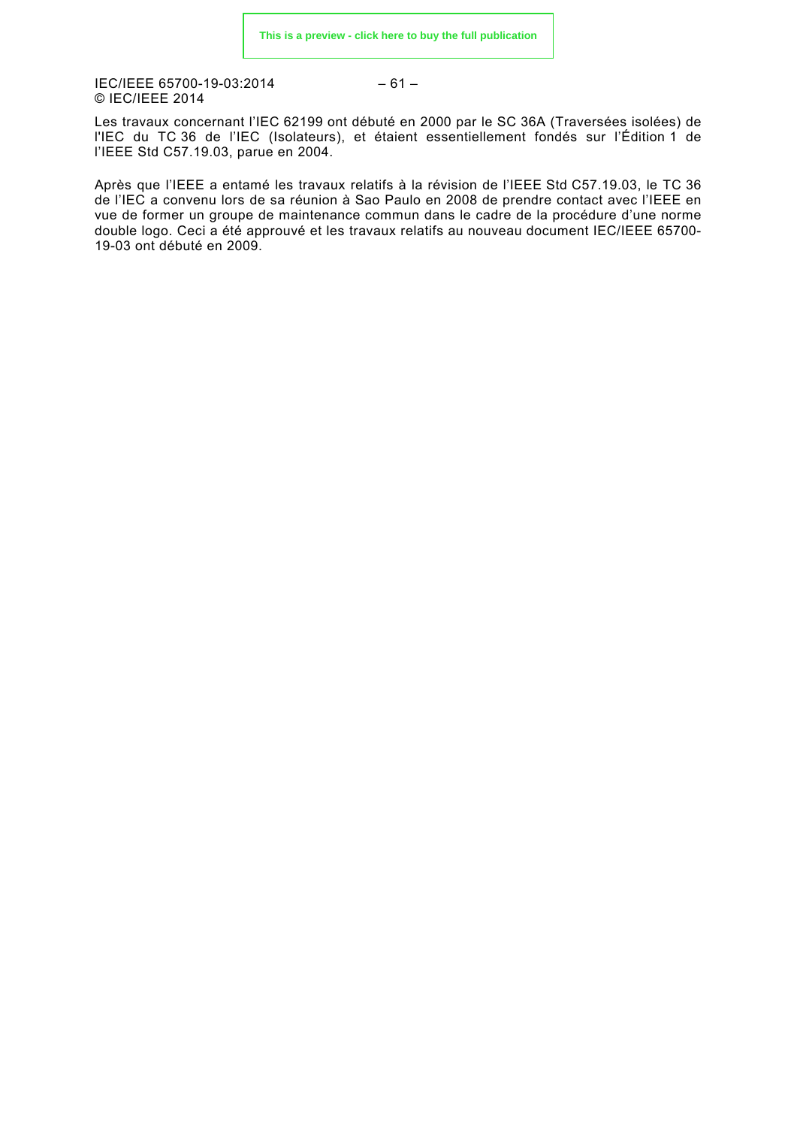IEC/IEEE 65700-19-03:2014 © IEC/IEEE 2014

$$
-61-
$$

Les travaux concernant l'IEC 62199 ont débuté en 2000 par le SC 36A (Traversées isolées) de l'IEC du TC 36 de l'IEC (Isolateurs), et étaient essentiellement fondés sur l'Édition 1 de l'IEEE Std C57.19.03, parue en 2004.

Après que l'IEEE a entamé les travaux relatifs à la révision de l'IEEE Std C57.19.03, le TC 36 de l'IEC a convenu lors de sa réunion à Sao Paulo en 2008 de prendre contact avec l'IEEE en vue de former un groupe de maintenance commun dans le cadre de la procédure d'une norme double logo. Ceci a été approuvé et les travaux relatifs au nouveau document IEC/IEEE 65700- 19-03 ont débuté en 2009.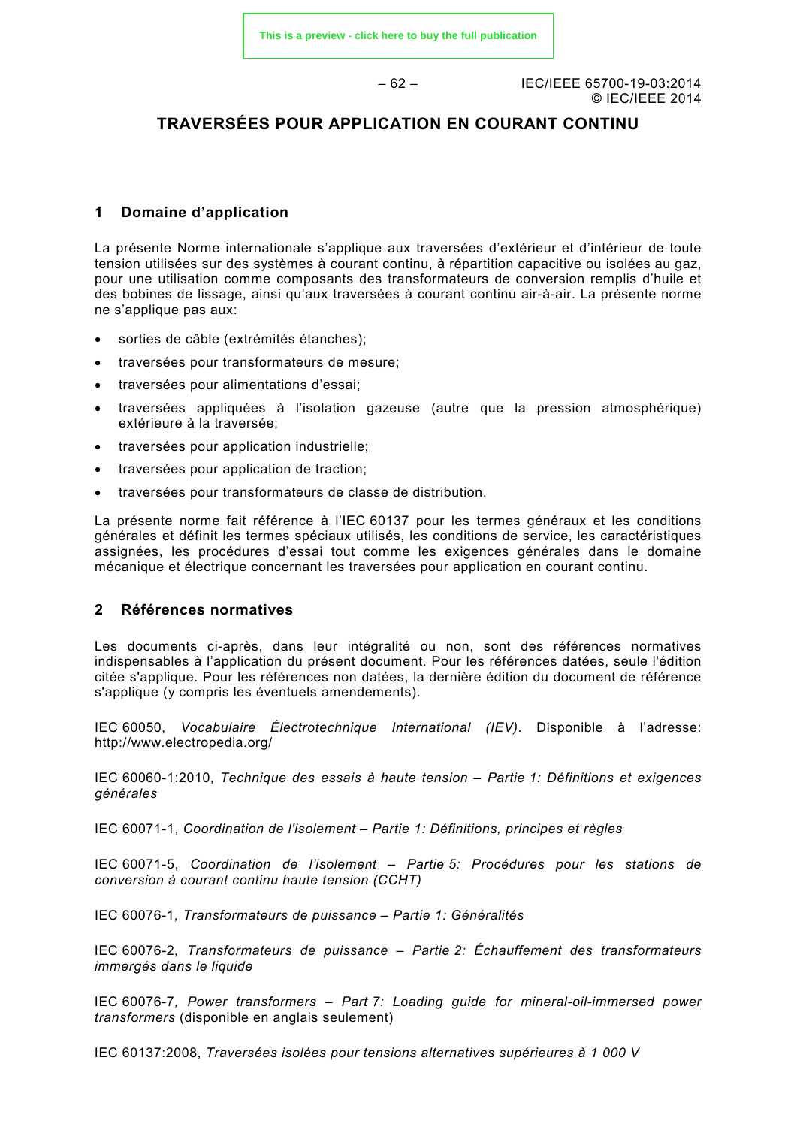– 62 – IEC/IEEE 65700-19-03:2014 © IEC/IEEE 2014

### **TRAVERSÉES POUR APPLICATION EN COURANT CONTINU**

#### <span id="page-18-0"></span>**1 Domaine d'application**

La présente Norme internationale s'applique aux traversées d'extérieur et d'intérieur de toute tension utilisées sur des systèmes à courant continu, à répartition capacitive ou isolées au gaz, pour une utilisation comme composants des transformateurs de conversion remplis d'huile et des bobines de lissage, ainsi qu'aux traversées à courant continu air-à-air. La présente norme ne s'applique pas aux:

- sorties de câble (extrémités étanches);
- traversées pour transformateurs de mesure;
- traversées pour alimentations d'essai;
- traversées appliquées à l'isolation gazeuse (autre que la pression atmosphérique) extérieure à la traversée;
- traversées pour application industrielle;
- traversées pour application de traction;
- traversées pour transformateurs de classe de distribution.

La présente norme fait référence à l'IEC 60137 pour les termes généraux et les conditions générales et définit les termes spéciaux utilisés, les conditions de service, les caractéristiques assignées, les procédures d'essai tout comme les exigences générales dans le domaine mécanique et électrique concernant les traversées pour application en courant continu.

#### <span id="page-18-1"></span>**2 Références normatives**

Les documents ci-après, dans leur intégralité ou non, sont des références normatives indispensables à l'application du présent document. Pour les références datées, seule l'édition citée s'applique. Pour les références non datées, la dernière édition du document de référence s'applique (y compris les éventuels amendements).

IEC 60050, *Vocabulaire Électrotechnique International (IEV).* Disponible à l'adresse: <http://www.electropedia.org/>

IEC 60060-1:2010, *Technique des essais à haute tension – Partie 1: Définitions et exigences générales*

IEC 60071-1, *Coordination de l'isolement – Partie 1: Définitions, principes et règles*

IEC 60071-5, *Coordination de l'isolement – Partie 5: Procédures pour les stations de conversion à courant continu haute tension (CCHT)*

IEC 60076-1*, Transformateurs de puissance – Partie 1: Généralités*

IEC 60076-2*, Transformateurs de puissance – Partie 2: Échauffement des transformateurs immergés dans le liquide*

IEC 60076-7*, Power transformers – Part 7: Loading guide for mineral-oil-immersed power transformers* (disponible en anglais seulement)

IEC 60137:2008, *Traversées isolées pour tensions alternatives supérieures à 1 000 V*